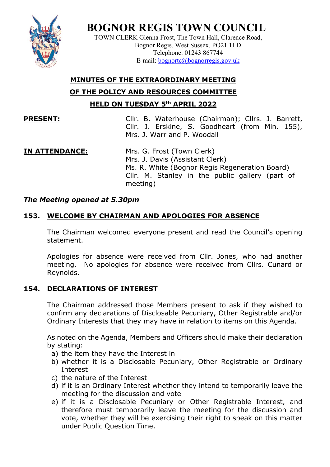**BOGNOR REGIS TOWN COUNCIL**

TOWN CLERK Glenna Frost, The Town Hall, Clarence Road, Bognor Regis, West Sussex, PO21 1LD Telephone: 01243 867744 E-mail: [bognortc@bognorregis.gov.uk](mailto:bognortc@bognorregis.gov.uk)

# **MINUTES OF THE EXTRAORDINARY MEETING**

**OF THE POLICY AND RESOURCES COMMITTEE**

**HELD ON TUESDAY 5th APRIL 2022**

**PRESENT:** Cllr. B. Waterhouse (Chairman); Cllrs. J. Barrett, Cllr. J. Erskine, S. Goodheart (from Min. 155), Mrs. J. Warr and P. Woodall

# **IN ATTENDANCE:** Mrs. G. Frost (Town Clerk)

Mrs. J. Davis (Assistant Clerk) Ms. R. White (Bognor Regis Regeneration Board) Cllr. M. Stanley in the public gallery (part of meeting)

## *The Meeting opened at 5.30pm*

# **153. WELCOME BY CHAIRMAN AND APOLOGIES FOR ABSENCE**

The Chairman welcomed everyone present and read the Council's opening statement.

Apologies for absence were received from Cllr. Jones, who had another meeting. No apologies for absence were received from Cllrs. Cunard or Reynolds.

# **154. DECLARATIONS OF INTEREST**

The Chairman addressed those Members present to ask if they wished to confirm any declarations of Disclosable Pecuniary, Other Registrable and/or Ordinary Interests that they may have in relation to items on this Agenda.

As noted on the Agenda, Members and Officers should make their declaration by stating:

- a) the item they have the Interest in
- b) whether it is a Disclosable Pecuniary, Other Registrable or Ordinary Interest
- c) the nature of the Interest
- d) if it is an Ordinary Interest whether they intend to temporarily leave the meeting for the discussion and vote
- e) if it is a Disclosable Pecuniary or Other Registrable Interest, and therefore must temporarily leave the meeting for the discussion and vote, whether they will be exercising their right to speak on this matter under Public Question Time.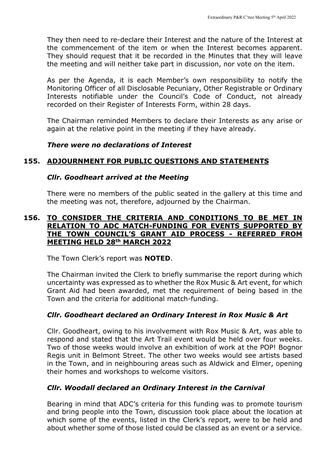They then need to re-declare their Interest and the nature of the Interest at the commencement of the item or when the Interest becomes apparent. They should request that it be recorded in the Minutes that they will leave the meeting and will neither take part in discussion, nor vote on the item.

As per the Agenda, it is each Member's own responsibility to notify the Monitoring Officer of all Disclosable Pecuniary, Other Registrable or Ordinary Interests notifiable under the Council's Code of Conduct, not already recorded on their Register of Interests Form, within 28 days.

The Chairman reminded Members to declare their Interests as any arise or again at the relative point in the meeting if they have already.

#### *There were no declarations of Interest*

### **155. ADJOURNMENT FOR PUBLIC QUESTIONS AND STATEMENTS**

#### *Cllr. Goodheart arrived at the Meeting*

There were no members of the public seated in the gallery at this time and the meeting was not, therefore, adjourned by the Chairman.

#### **156. TO CONSIDER THE CRITERIA AND CONDITIONS TO BE MET IN RELATION TO ADC MATCH-FUNDING FOR EVENTS SUPPORTED BY THE TOWN COUNCIL'S GRANT AID PROCESS - REFERRED FROM MEETING HELD 28th MARCH 2022**

The Town Clerk's report was **NOTED**.

The Chairman invited the Clerk to briefly summarise the report during which uncertainty was expressed as to whether the Rox Music & Art event, for which Grant Aid had been awarded, met the requirement of being based in the Town and the criteria for additional match-funding.

### *Cllr. Goodheart declared an Ordinary Interest in Rox Music & Art*

Cllr. Goodheart, owing to his involvement with Rox Music & Art, was able to respond and stated that the Art Trail event would be held over four weeks. Two of those weeks would involve an exhibition of work at the POP! Bognor Regis unit in Belmont Street. The other two weeks would see artists based in the Town, and in neighbouring areas such as Aldwick and Elmer, opening their homes and workshops to welcome visitors.

### *Cllr. Woodall declared an Ordinary Interest in the Carnival*

Bearing in mind that ADC's criteria for this funding was to promote tourism and bring people into the Town, discussion took place about the location at which some of the events, listed in the Clerk's report, were to be held and about whether some of those listed could be classed as an event or a service.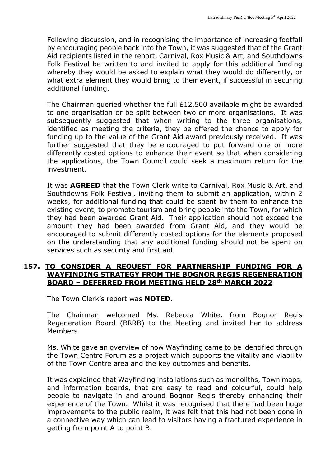Following discussion, and in recognising the importance of increasing footfall by encouraging people back into the Town, it was suggested that of the Grant Aid recipients listed in the report, Carnival, Rox Music & Art, and Southdowns Folk Festival be written to and invited to apply for this additional funding whereby they would be asked to explain what they would do differently, or what extra element they would bring to their event, if successful in securing additional funding.

The Chairman queried whether the full £12,500 available might be awarded to one organisation or be split between two or more organisations. It was subsequently suggested that when writing to the three organisations, identified as meeting the criteria, they be offered the chance to apply for funding up to the value of the Grant Aid award previously received. It was further suggested that they be encouraged to put forward one or more differently costed options to enhance their event so that when considering the applications, the Town Council could seek a maximum return for the investment.

It was **AGREED** that the Town Clerk write to Carnival, Rox Music & Art, and Southdowns Folk Festival, inviting them to submit an application, within 2 weeks, for additional funding that could be spent by them to enhance the existing event, to promote tourism and bring people into the Town, for which they had been awarded Grant Aid. Their application should not exceed the amount they had been awarded from Grant Aid, and they would be encouraged to submit differently costed options for the elements proposed on the understanding that any additional funding should not be spent on services such as security and first aid.

#### **157. TO CONSIDER A REQUEST FOR PARTNERSHIP FUNDING FOR A WAYFINDING STRATEGY FROM THE BOGNOR REGIS REGENERATION BOARD – DEFERRED FROM MEETING HELD 28th MARCH 2022**

The Town Clerk's report was **NOTED**.

The Chairman welcomed Ms. Rebecca White, from Bognor Regis Regeneration Board (BRRB) to the Meeting and invited her to address Members.

Ms. White gave an overview of how Wayfinding came to be identified through the Town Centre Forum as a project which supports the vitality and viability of the Town Centre area and the key outcomes and benefits.

It was explained that Wayfinding installations such as monoliths, Town maps, and information boards, that are easy to read and colourful, could help people to navigate in and around Bognor Regis thereby enhancing their experience of the Town. Whilst it was recognised that there had been huge improvements to the public realm, it was felt that this had not been done in a connective way which can lead to visitors having a fractured experience in getting from point A to point B.